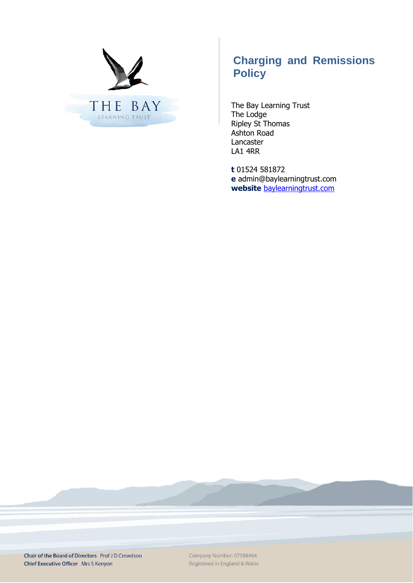

# **Charging and Remissions Policy**

The Bay Learning Trust The Lodge Ripley St Thomas Ashton Road Lancaster LA1 4RR

**t** 01524 581872 **e** admin@baylearningtrust.com **website** [baylearningtrust.com](http://www.ripleystthomas.com/)

Chair of the Board of Directors Prof JD Crewdson Chief Executive Officer Mrs S Kenyon

Company Number: 07588464 Registered in England & Wales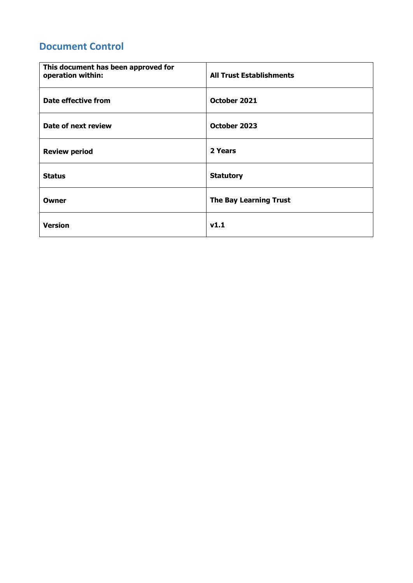## **Document Control**

| This document has been approved for<br>operation within: | <b>All Trust Establishments</b> |
|----------------------------------------------------------|---------------------------------|
| Date effective from                                      | October 2021                    |
| Date of next review                                      | October 2023                    |
| <b>Review period</b>                                     | 2 Years                         |
| <b>Status</b>                                            | <b>Statutory</b>                |
| Owner                                                    | <b>The Bay Learning Trust</b>   |
| <b>Version</b>                                           | V1.1                            |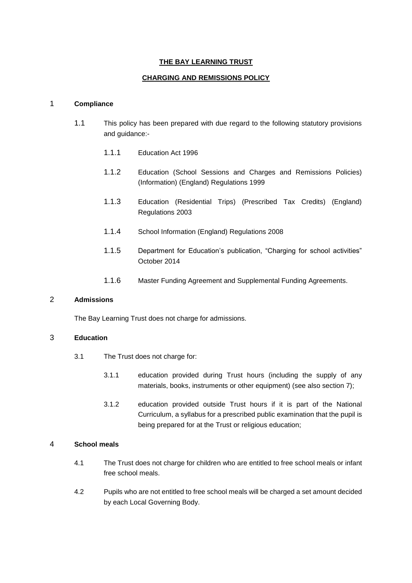## **THE BAY LEARNING TRUST**

## **CHARGING AND REMISSIONS POLICY**

## 1 **Compliance**

- 1.1 This policy has been prepared with due regard to the following statutory provisions and guidance:-
	- 1.1.1 Education Act 1996
	- 1.1.2 Education (School Sessions and Charges and Remissions Policies) (Information) (England) Regulations 1999
	- 1.1.3 Education (Residential Trips) (Prescribed Tax Credits) (England) Regulations 2003
	- 1.1.4 School Information (England) Regulations 2008
	- 1.1.5 Department for Education's publication, "Charging for school activities" October 2014
	- 1.1.6 Master Funding Agreement and Supplemental Funding Agreements.

## 2 **Admissions**

The Bay Learning Trust does not charge for admissions.

## 3 **Education**

- 3.1 The Trust does not charge for:
	- 3.1.1 education provided during Trust hours (including the supply of any materials, books, instruments or other equipment) (see also section 7);
	- 3.1.2 education provided outside Trust hours if it is part of the National Curriculum, a syllabus for a prescribed public examination that the pupil is being prepared for at the Trust or religious education;

#### 4 **School meals**

- 4.1 The Trust does not charge for children who are entitled to free school meals or infant free school meals.
- 4.2 Pupils who are not entitled to free school meals will be charged a set amount decided by each Local Governing Body.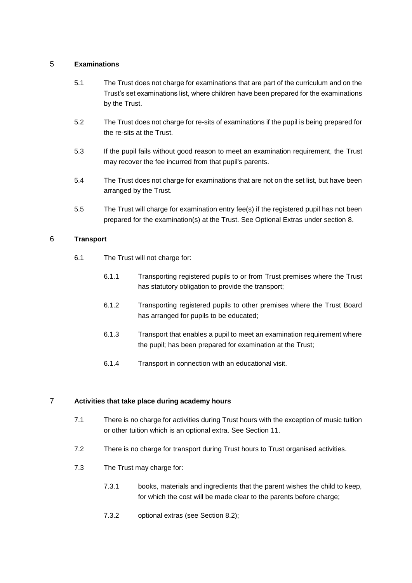## 5 **Examinations**

- 5.1 The Trust does not charge for examinations that are part of the curriculum and on the Trust's set examinations list, where children have been prepared for the examinations by the Trust.
- 5.2 The Trust does not charge for re-sits of examinations if the pupil is being prepared for the re-sits at the Trust.
- 5.3 If the pupil fails without good reason to meet an examination requirement, the Trust may recover the fee incurred from that pupil's parents.
- 5.4 The Trust does not charge for examinations that are not on the set list, but have been arranged by the Trust.
- 5.5 The Trust will charge for examination entry fee(s) if the registered pupil has not been prepared for the examination(s) at the Trust. See Optional Extras under section 8.

## 6 **Transport**

- 6.1 The Trust will not charge for:
	- 6.1.1 Transporting registered pupils to or from Trust premises where the Trust has statutory obligation to provide the transport;
	- 6.1.2 Transporting registered pupils to other premises where the Trust Board has arranged for pupils to be educated;
	- 6.1.3 Transport that enables a pupil to meet an examination requirement where the pupil; has been prepared for examination at the Trust;
	- 6.1.4 Transport in connection with an educational visit.

## 7 **Activities that take place during academy hours**

- 7.1 There is no charge for activities during Trust hours with the exception of music tuition or other tuition which is an optional extra. See Section [11.](#page-7-0)
- 7.2 There is no charge for transport during Trust hours to Trust organised activities.
- 7.3 The Trust may charge for:
	- 7.3.1 books, materials and ingredients that the parent wishes the child to keep, for which the cost will be made clear to the parents before charge;
	- 7.3.2 optional extras (see Section [8.2\)](#page-4-0);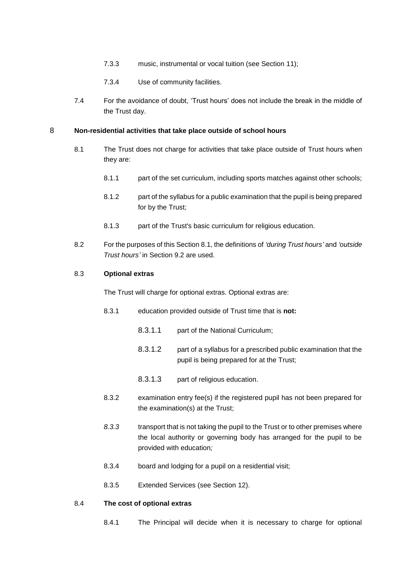- 7.3.3 music, instrumental or vocal tuition (see Section [11\)](#page-7-0);
- 7.3.4 Use of community facilities.
- 7.4 For the avoidance of doubt, 'Trust hours' does not include the break in the middle of the Trust day.

#### <span id="page-4-2"></span><span id="page-4-1"></span>8 **Non-residential activities that take place outside of school hours**

- 8.1 The Trust does not charge for activities that take place outside of Trust hours when they are:
	- 8.1.1 part of the set curriculum, including sports matches against other schools;
	- 8.1.2 part of the syllabus for a public examination that the pupil is being prepared for by the Trust;
	- 8.1.3 part of the Trust's basic curriculum for religious education.
- <span id="page-4-0"></span>8.2 For the purposes of this Sectio[n 8.1,](#page-4-1) the definitions of *'during Trust hours'* and *'outside Trust hours'* in Section [9.2](#page-5-0) are used.

#### 8.3 **Optional extras**

The Trust will charge for optional extras. Optional extras are:

- 8.3.1 education provided outside of Trust time that is **not:**
	- 8.3.1.1 part of the National Curriculum:
	- 8.3.1.2 part of a syllabus for a prescribed public examination that the pupil is being prepared for at the Trust;
	- 8.3.1.3 part of religious education.
- 8.3.2 examination entry fee(s) if the registered pupil has not been prepared for the examination(s) at the Trust;
- *8.3.3* transport that is not taking the pupil to the Trust or to other premises where the local authority or governing body has arranged for the pupil to be provided with education*;*
- 8.3.4 board and lodging for a pupil on a residential visit;
- 8.3.5 Extended Services (see Section [12\)](#page-7-1).

#### 8.4 **The cost of optional extras**

8.4.1 The Principal will decide when it is necessary to charge for optional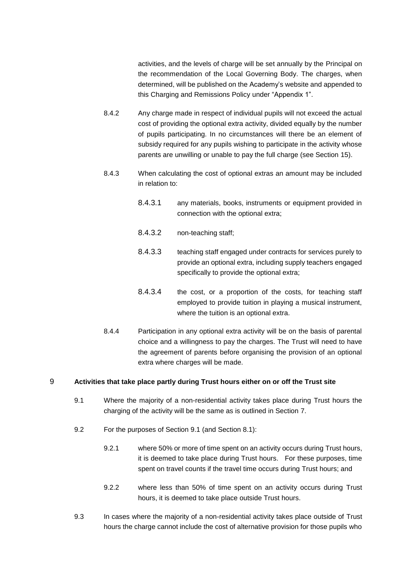activities, and the levels of charge will be set annually by the Principal on the recommendation of the Local Governing Body. The charges, when determined, will be published on the Academy's website and appended to this Charging and Remissions Policy under "Appendix 1".

- 8.4.2 Any charge made in respect of individual pupils will not exceed the actual cost of providing the optional extra activity, divided equally by the number of pupils participating. In no circumstances will there be an element of subsidy required for any pupils wishing to participate in the activity whose parents are unwilling or unable to pay the full charge (see Section [15\)](#page-9-0).
- 8.4.3 When calculating the cost of optional extras an amount may be included in relation to:
	- 8.4.3.1 any materials, books, instruments or equipment provided in connection with the optional extra;
	- 8.4.3.2 non-teaching staff;
	- 8.4.3.3 teaching staff engaged under contracts for services purely to provide an optional extra, including supply teachers engaged specifically to provide the optional extra;
	- 8.4.3.4 the cost, or a proportion of the costs, for teaching staff employed to provide tuition in playing a musical instrument, where the tuition is an optional extra.
- 8.4.4 Participation in any optional extra activity will be on the basis of parental choice and a willingness to pay the charges. The Trust will need to have the agreement of parents before organising the provision of an optional extra where charges will be made.

## <span id="page-5-1"></span>9 **Activities that take place partly during Trust hours either on or off the Trust site**

- 9.1 Where the majority of a non-residential activity takes place during Trust hours the charging of the activity will be the same as is outlined in Section 7.
- <span id="page-5-0"></span>9.2 For the purposes of Section [9.1](#page-5-1) (and Section 8.1):
	- 9.2.1 where 50% or more of time spent on an activity occurs during Trust hours, it is deemed to take place during Trust hours. For these purposes, time spent on travel counts if the travel time occurs during Trust hours; and
	- 9.2.2 where less than 50% of time spent on an activity occurs during Trust hours, it is deemed to take place outside Trust hours.
- 9.3 In cases where the majority of a non-residential activity takes place outside of Trust hours the charge cannot include the cost of alternative provision for those pupils who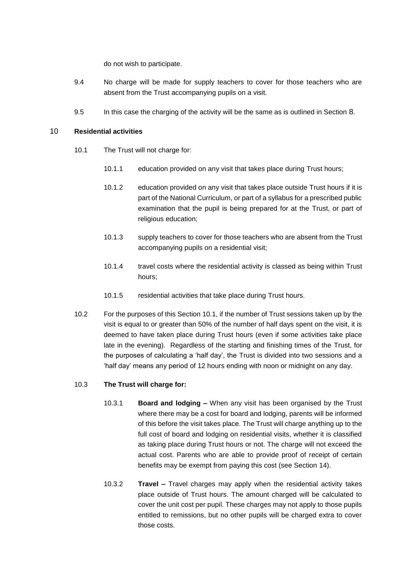do not wish to participate.

- 9.4 No charge will be made for supply teachers to cover for those teachers who are absent from the Trust accompanying pupils on a visit.
- 9.5 In this case the charging of the activity will be the same as is outlined in Section [8](#page-4-2).

## <span id="page-6-0"></span>10 **Residential activities**

- 10.1 The Trust will not charge for:
	- 10.1.1 education provided on any visit that takes place during Trust hours;
	- 10.1.2 education provided on any visit that takes place outside Trust hours if it is part of the National Curriculum, or part of a syllabus for a prescribed public examination that the pupil is being prepared for at the Trust, or part of religious education;
	- 10.1.3 supply teachers to cover for those teachers who are absent from the Trust accompanying pupils on a residential visit;
	- 10.1.4 travel costs where the residential activity is classed as being within Trust hours;
	- 10.1.5 residential activities that take place during Trust hours.
- 10.2 For the purposes of this Section [10.1,](#page-6-0) if the number of Trust sessions taken up by the visit is equal to or greater than 50% of the number of half days spent on the visit, it is deemed to have taken place during Trust hours (even if some activities take place late in the evening). Regardless of the starting and finishing times of the Trust, for the purposes of calculating a 'half day', the Trust is divided into two sessions and a 'half day' means any period of 12 hours ending with noon or midnight on any day.

## 10.3 **The Trust will charge for:**

- 10.3.1 **Board and lodging –** When any visit has been organised by the Trust where there may be a cost for board and lodging, parents will be informed of this before the visit takes place. The Trust will charge anything up to the full cost of board and lodging on residential visits, whether it is classified as taking place during Trust hours or not. The charge will not exceed the actual cost. Parents who are able to provide proof of receipt of certain benefits may be exempt from paying this cost (see Section [14\)](#page-8-0).
- 10.3.2 **Travel –** Travel charges may apply when the residential activity takes place outside of Trust hours. The amount charged will be calculated to cover the unit cost per pupil. These charges may not apply to those pupils entitled to remissions, but no other pupils will be charged extra to cover those costs.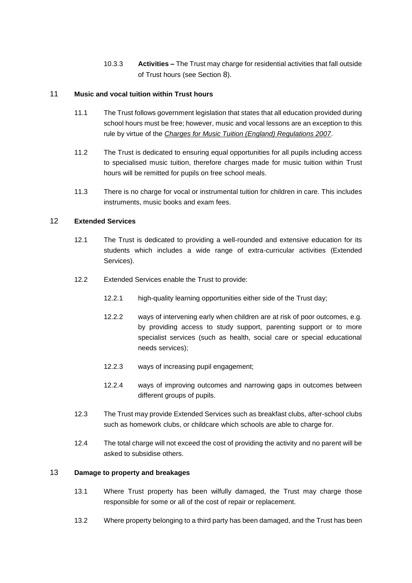10.3.3 **Activities –** The Trust may charge for residential activities that fall outside of Trust hours (see Section [8](#page-4-2)).

## <span id="page-7-0"></span>11 **Music and vocal tuition within Trust hours**

- 11.1 The Trust follows government legislation that states that all education provided during school hours must be free; however, music and vocal lessons are an exception to this rule by virtue of the *Charges for Music Tuition (England) Regulations 2007*.
- 11.2 The Trust is dedicated to ensuring equal opportunities for all pupils including access to specialised music tuition, therefore charges made for music tuition within Trust hours will be remitted for pupils on free school meals.
- 11.3 There is no charge for vocal or instrumental tuition for children in care. This includes instruments, music books and exam fees.

## <span id="page-7-1"></span>12 **Extended Services**

- 12.1 The Trust is dedicated to providing a well-rounded and extensive education for its students which includes a wide range of extra-curricular activities (Extended Services).
- 12.2 Extended Services enable the Trust to provide:
	- 12.2.1 high-quality learning opportunities either side of the Trust day;
	- 12.2.2 ways of intervening early when children are at risk of poor outcomes, e.g. by providing access to study support, parenting support or to more specialist services (such as health, social care or special educational needs services);
	- 12.2.3 ways of increasing pupil engagement;
	- 12.2.4 ways of improving outcomes and narrowing gaps in outcomes between different groups of pupils.
- 12.3 The Trust may provide Extended Services such as breakfast clubs, after-school clubs such as homework clubs, or childcare which schools are able to charge for.
- 12.4 The total charge will not exceed the cost of providing the activity and no parent will be asked to subsidise others.

## 13 **Damage to property and breakages**

- 13.1 Where Trust property has been wilfully damaged, the Trust may charge those responsible for some or all of the cost of repair or replacement.
- 13.2 Where property belonging to a third party has been damaged, and the Trust has been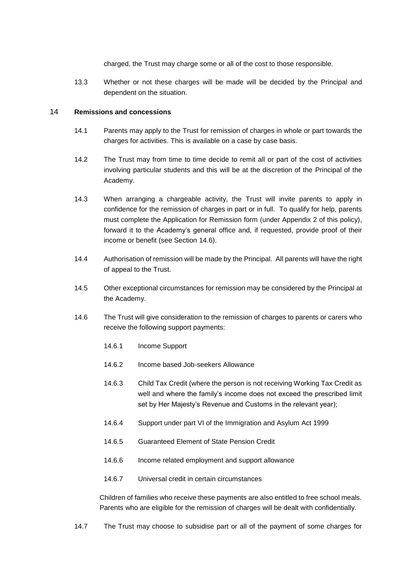charged, the Trust may charge some or all of the cost to those responsible.

13.3 Whether or not these charges will be made will be decided by the Principal and dependent on the situation.

#### <span id="page-8-0"></span>14 **Remissions and concessions**

- 14.1 Parents may apply to the Trust for remission of charges in whole or part towards the charges for activities. This is available on a case by case basis.
- 14.2 The Trust may from time to time decide to remit all or part of the cost of activities involving particular students and this will be at the discretion of the Principal of the Academy.
- 14.3 When arranging a chargeable activity, the Trust will invite parents to apply in confidence for the remission of charges in part or in full. To qualify for help, parents must complete the Application for Remission form (under Appendix 2 of this policy), forward it to the Academy's general office and, if requested, provide proof of their income or benefit (see Section [14.6\)](#page-8-1).
- 14.4 Authorisation of remission will be made by the Principal. All parents will have the right of appeal to the Trust.
- 14.5 Other exceptional circumstances for remission may be considered by the Principal at the Academy.
- <span id="page-8-1"></span>14.6 The Trust will give consideration to the remission of charges to parents or carers who receive the following support payments:
	- 14.6.1 Income Support
	- 14.6.2 Income based Job-seekers Allowance
	- 14.6.3 Child Tax Credit (where the person is not receiving Working Tax Credit as well and where the family's income does not exceed the prescribed limit set by Her Majesty's Revenue and Customs in the relevant year);
	- 14.6.4 Support under part VI of the Immigration and Asylum Act 1999
	- 14.6.5 Guaranteed Element of State Pension Credit
	- 14.6.6 Income related employment and support allowance
	- 14.6.7 Universal credit in certain circumstances

Children of families who receive these payments are also entitled to free school meals. Parents who are eligible for the remission of charges will be dealt with confidentially.

14.7 The Trust may choose to subsidise part or all of the payment of some charges for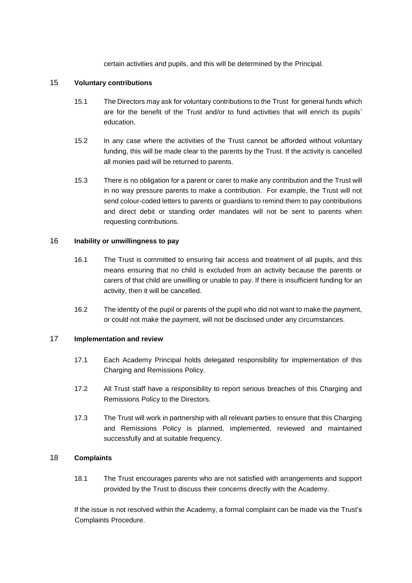certain activities and pupils, and this will be determined by the Principal.

## <span id="page-9-0"></span>15 **Voluntary contributions**

- 15.1 The Directors may ask for voluntary contributions to the Trust for general funds which are for the benefit of the Trust and/or to fund activities that will enrich its pupils' education.
- 15.2 In any case where the activities of the Trust cannot be afforded without voluntary funding, this will be made clear to the parents by the Trust. If the activity is cancelled all monies paid will be returned to parents.
- 15.3 There is no obligation for a parent or carer to make any contribution and the Trust will in no way pressure parents to make a contribution. For example, the Trust will not send colour-coded letters to parents or guardians to remind them to pay contributions and direct debit or standing order mandates will not be sent to parents when requesting contributions.

## 16 **Inability or unwillingness to pay**

- 16.1 The Trust is committed to ensuring fair access and treatment of all pupils, and this means ensuring that no child is excluded from an activity because the parents or carers of that child are unwilling or unable to pay. If there is insufficient funding for an activity, then it will be cancelled.
- 16.2 The identity of the pupil or parents of the pupil who did not want to make the payment, or could not make the payment, will not be disclosed under any circumstances.

## 17 **Implementation and review**

- 17.1 Each Academy Principal holds delegated responsibility for implementation of this Charging and Remissions Policy.
- 17.2 All Trust staff have a responsibility to report serious breaches of this Charging and Remissions Policy to the Directors.
- 17.3 The Trust will work in partnership with all relevant parties to ensure that this Charging and Remissions Policy is planned, implemented, reviewed and maintained successfully and at suitable frequency.

## 18 **Complaints**

18.1 The Trust encourages parents who are not satisfied with arrangements and support provided by the Trust to discuss their concerns directly with the Academy.

If the issue is not resolved within the Academy, a formal complaint can be made via the Trust's Complaints Procedure.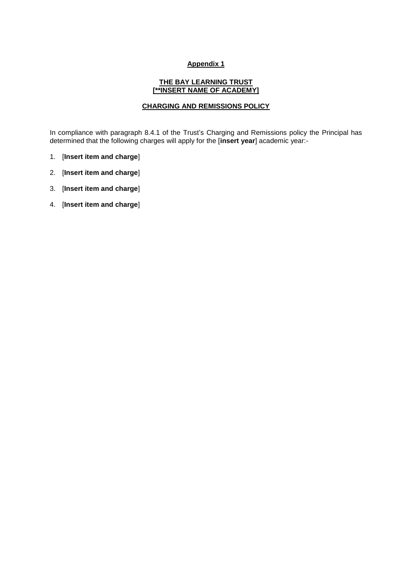## **Appendix 1**

#### **THE BAY LEARNING TRUST [\*\*INSERT NAME OF ACADEMY]**

## **CHARGING AND REMISSIONS POLICY**

In compliance with paragraph 8.4.1 of the Trust's Charging and Remissions policy the Principal has determined that the following charges will apply for the [**insert year**] academic year:-

- 1. [**Insert item and charge**]
- 2. [**Insert item and charge**]
- 3. [**Insert item and charge**]
- 4. [**Insert item and charge**]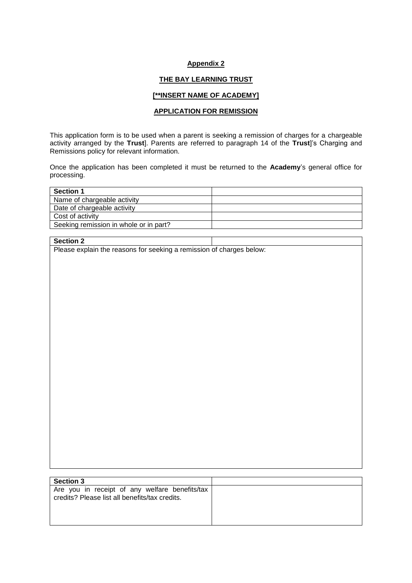#### **Appendix 2**

#### **THE BAY LEARNING TRUST**

#### **[\*\*INSERT NAME OF ACADEMY]**

## **APPLICATION FOR REMISSION**

This application form is to be used when a parent is seeking a remission of charges for a chargeable activity arranged by the **Trust**]. Parents are referred to paragraph 14 of the **Trust**]'s Charging and Remissions policy for relevant information.

Once the application has been completed it must be returned to the **Academy**'s general office for processing.

| <b>Section 1</b>                       |  |
|----------------------------------------|--|
| Name of chargeable activity            |  |
| Date of chargeable activity            |  |
| Cost of activity                       |  |
| Seeking remission in whole or in part? |  |

## **Section 2**

Please explain the reasons for seeking a remission of charges below:

| <b>Section 3</b>                                                                                 |  |
|--------------------------------------------------------------------------------------------------|--|
| Are you in receipt of any welfare benefits/tax<br>credits? Please list all benefits/tax credits. |  |